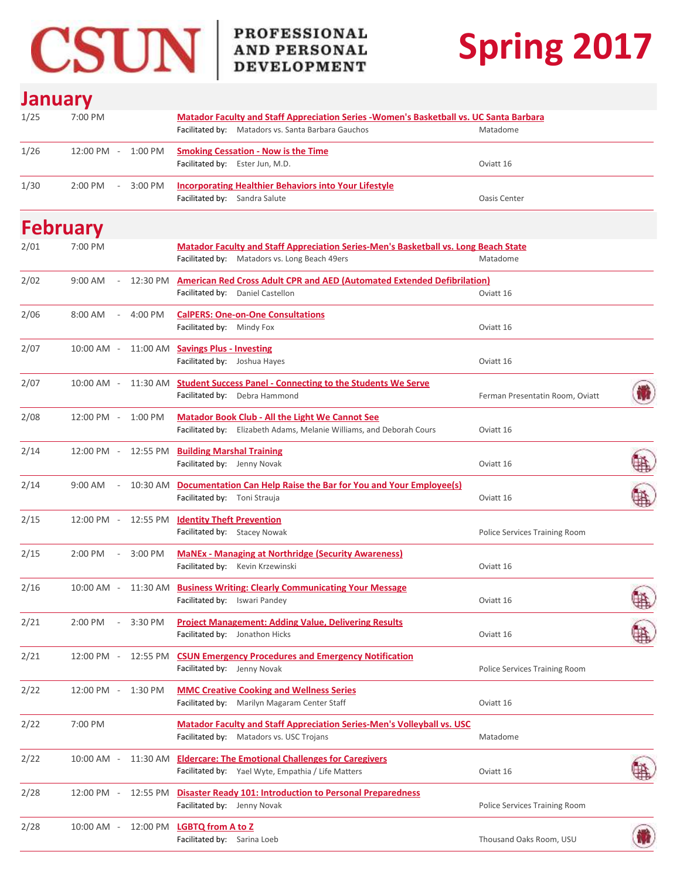

# **Spring 2017**

### **January**

| 1/25 | 7:00 PM                             |          | <b>Matador Faculty and Staff Appreciation Series - Women's Basketball vs. UC Santa Barbara</b><br>Facilitated by: Matadors vs. Santa Barbara Gauchos | Matadome                             |    |
|------|-------------------------------------|----------|------------------------------------------------------------------------------------------------------------------------------------------------------|--------------------------------------|----|
| 1/26 | $12:00$ PM $-$                      | 1:00 PM  | <b>Smoking Cessation - Now is the Time</b><br>Facilitated by: Ester Jun, M.D.                                                                        | Oviatt 16                            |    |
| 1/30 | 2:00 PM<br>$\overline{\phantom{a}}$ | 3:00 PM  | <b>Incorporating Healthier Behaviors into Your Lifestyle</b><br>Facilitated by: Sandra Salute                                                        | <b>Oasis Center</b>                  |    |
|      | <b>February</b>                     |          |                                                                                                                                                      |                                      |    |
| 2/01 | 7:00 PM                             |          | <b>Matador Faculty and Staff Appreciation Series-Men's Basketball vs. Long Beach State</b><br>Facilitated by: Matadors vs. Long Beach 49ers          | Matadome                             |    |
| 2/02 | 9:00 AM<br>$\sim$                   |          | 12:30 PM American Red Cross Adult CPR and AED (Automated Extended Defibrilation)<br>Facilitated by: Daniel Castellon                                 | Oviatt 16                            |    |
| 2/06 | $8:00 \text{ AM}$<br>$\sim$         | 4:00 PM  | <b>CalPERS: One-on-One Consultations</b><br>Facilitated by: Mindy Fox                                                                                | Oviatt 16                            |    |
| 2/07 | $10:00$ AM -                        |          | 11:00 AM Savings Plus - Investing<br>Facilitated by: Joshua Hayes                                                                                    | Oviatt 16                            |    |
| 2/07 | $10:00$ AM $-$                      |          | 11:30 AM Student Success Panel - Connecting to the Students We Serve<br>Facilitated by: Debra Hammond                                                | Ferman Presentatin Room, Oviatt      | Ŵ  |
| 2/08 | $12:00$ PM $-$                      | 1:00 PM  | <b>Matador Book Club - All the Light We Cannot See</b><br>Facilitated by: Elizabeth Adams, Melanie Williams, and Deborah Cours                       | Oviatt 16                            |    |
| 2/14 | 12:00 PM -                          | 12:55 PM | <b>Building Marshal Training</b><br>Facilitated by: Jenny Novak                                                                                      | Oviatt 16                            | 糠  |
| 2/14 | 9:00 AM<br>$\sim$                   | 10:30 AM | Documentation Can Help Raise the Bar for You and Your Employee(s)<br>Facilitated by: Toni Strauja                                                    | Oviatt 16                            |    |
| 2/15 |                                     |          | 12:00 PM - 12:55 PM Identity Theft Prevention<br>Facilitated by: Stacey Nowak                                                                        | Police Services Training Room        |    |
| 2/15 | 2:00 PM<br>$\sim$ $ \sim$           | 3:00 PM  | <b>MaNEx - Managing at Northridge (Security Awareness)</b><br>Facilitated by: Kevin Krzewinski                                                       | Oviatt 16                            |    |
| 2/16 | $10:00$ AM $-$                      |          | 11:30 AM Business Writing: Clearly Communicating Your Message<br>Facilitated by: Iswari Pandey                                                       | Oviatt 16                            | 語  |
| 2/21 | 2:00 PM                             | 3:30 PM  | <b>Project Management: Adding Value, Delivering Results</b><br>Facilitated by: Jonathon Hicks                                                        | Oviatt 16                            | ਧਾ |
| 2/21 | 12:00 PM -                          | 12:55 PM | <b>CSUN Emergency Procedures and Emergency Notification</b><br>Facilitated by: Jenny Novak                                                           | <b>Police Services Training Room</b> |    |
| 2/22 | 12:00 PM -                          | 1:30 PM  | <b>MMC Creative Cooking and Wellness Series</b><br>Facilitated by: Marilyn Magaram Center Staff                                                      | Oviatt 16                            |    |
| 2/22 | 7:00 PM                             |          | <b>Matador Faculty and Staff Appreciation Series-Men's Volleyball vs. USC</b><br>Facilitated by: Matadors vs. USC Trojans                            | Matadome                             |    |
| 2/22 | 10:00 AM -                          |          | 11:30 AM Eldercare: The Emotional Challenges for Caregivers<br>Facilitated by: Yael Wyte, Empathia / Life Matters                                    | Oviatt 16                            |    |
| 2/28 | $12:00 \, \text{PM}$ -              | 12:55 PM | <b>Disaster Ready 101: Introduction to Personal Preparedness</b><br>Facilitated by: Jenny Novak                                                      | Police Services Training Room        |    |
| 2/28 | $10:00$ AM -                        |          | 12:00 PM LGBTQ from A to Z<br>Facilitated by: Sarina Loeb                                                                                            | Thousand Oaks Room, USU              |    |

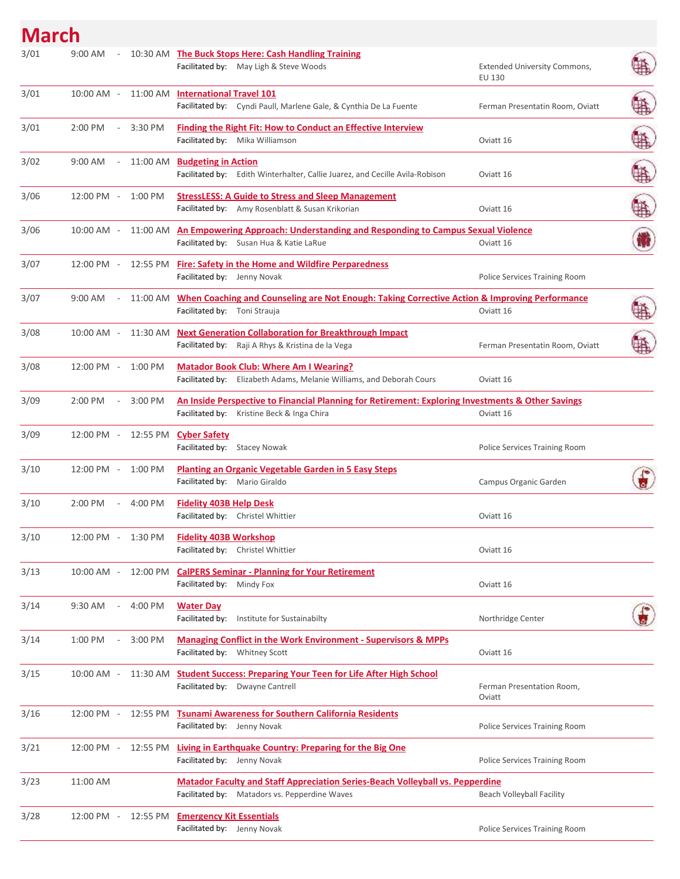## **March**

| 3/01 | 9:00 AM           | $\overline{\phantom{a}}$ |                     | 10:30 AM The Buck Stops Here: Cash Handling Training<br>Facilitated by: May Ligh & Steve Woods                                                  | <b>Extended University Commons,</b><br>EU 130 |  |
|------|-------------------|--------------------------|---------------------|-------------------------------------------------------------------------------------------------------------------------------------------------|-----------------------------------------------|--|
| 3/01 | $10:00$ AM $-$    |                          |                     | 11:00 AM International Travel 101<br>Facilitated by: Cyndi Paull, Marlene Gale, & Cynthia De La Fuente                                          | Ferman Presentatin Room, Oviatt               |  |
| 3/01 | 2:00 PM           |                          | 3:30 PM             | <b>Finding the Right Fit: How to Conduct an Effective Interview</b><br>Facilitated by: Mika Williamson                                          | Oviatt 16                                     |  |
| 3/02 | 9:00 AM           | $\overline{\phantom{a}}$ |                     | 11:00 AM Budgeting in Action<br>Facilitated by: Edith Winterhalter, Callie Juarez, and Cecille Avila-Robison                                    | Oviatt 16                                     |  |
| 3/06 | 12:00 PM -        |                          | $1:00$ PM           | <b>StressLESS: A Guide to Stress and Sleep Management</b><br>Facilitated by: Amy Rosenblatt & Susan Krikorian                                   | Oviatt 16                                     |  |
| 3/06 | $10:00$ AM $-$    |                          |                     | 11:00 AM An Empowering Approach: Understanding and Responding to Campus Sexual Violence<br>Facilitated by: Susan Hua & Katie LaRue              | Oviatt 16                                     |  |
| 3/07 | $12:00$ PM $-$    |                          | 12:55 PM            | <b>Fire: Safety in the Home and Wildfire Perparedness</b><br>Facilitated by: Jenny Novak                                                        | Police Services Training Room                 |  |
| 3/07 | $9:00 \text{ AM}$ |                          | 11:00 AM            | When Coaching and Counseling are Not Enough: Taking Corrective Action & Improving Performance<br>Facilitated by: Toni Strauja                   | Oviatt 16                                     |  |
| 3/08 | 10:00 AM -        |                          |                     | 11:30 AM Next Generation Collaboration for Breakthrough Impact<br>Facilitated by: Raji A Rhys & Kristina de la Vega                             | Ferman Presentatin Room, Oviatt               |  |
| 3/08 | 12:00 PM -        |                          | $1:00$ PM           | <b>Matador Book Club: Where Am I Wearing?</b><br>Facilitated by: Elizabeth Adams, Melanie Williams, and Deborah Cours                           | Oviatt 16                                     |  |
| 3/09 | 2:00 PM           | $\overline{\phantom{a}}$ | 3:00 PM             | An Inside Perspective to Financial Planning for Retirement: Exploring Investments & Other Savings<br>Facilitated by: Kristine Beck & Inga Chira | Oviatt 16                                     |  |
| 3/09 |                   |                          | 12:00 PM - 12:55 PM | <b>Cyber Safety</b><br>Facilitated by: Stacey Nowak                                                                                             | Police Services Training Room                 |  |
| 3/10 | 12:00 PM -        |                          | 1:00 PM             | <b>Planting an Organic Vegetable Garden in 5 Easy Steps</b><br>Facilitated by: Mario Giraldo                                                    | Campus Organic Garden                         |  |
| 3/10 | 2:00 PM           | $\sim$                   | 4:00 PM             | <b>Fidelity 403B Help Desk</b><br>Facilitated by: Christel Whittier                                                                             | Oviatt 16                                     |  |
| 3/10 | 12:00 PM -        |                          | 1:30 PM             | <b>Fidelity 403B Workshop</b><br>Facilitated by: Christel Whittier                                                                              | Oviatt 16                                     |  |
| 3/13 | 10:00 AM -        |                          | 12:00 PM            | <b>CalPERS Seminar - Planning for Your Retirement</b><br>Facilitated by: Mindy Fox                                                              | Oviatt 16                                     |  |
| 3/14 | 9:30 AM           | $\overline{\phantom{a}}$ | 4:00 PM             | <b>Water Day</b><br>Facilitated by: Institute for Sustainabilty                                                                                 | Northridge Center                             |  |
| 3/14 | 1:00 PM           |                          | 3:00 PM             | <b>Managing Conflict in the Work Environment - Supervisors &amp; MPPs</b><br>Facilitated by: Whitney Scott                                      | Oviatt 16                                     |  |
| 3/15 | 10:00 AM -        |                          | 11:30 AM            | <b>Student Success: Preparing Your Teen for Life After High School</b><br>Facilitated by: Dwayne Cantrell                                       | Ferman Presentation Room,<br>Oviatt           |  |
| 3/16 | 12:00 PM -        |                          | 12:55 PM            | <b>Tsunami Awareness for Southern California Residents</b><br>Facilitated by: Jenny Novak                                                       | Police Services Training Room                 |  |
| 3/21 | 12:00 PM -        |                          | 12:55 PM            | <b>Living in Earthquake Country: Preparing for the Big One</b><br>Facilitated by: Jenny Novak                                                   | Police Services Training Room                 |  |
| 3/23 | 11:00 AM          |                          |                     | <b>Matador Faculty and Staff Appreciation Series-Beach Volleyball vs. Pepperdine</b><br>Facilitated by: Matadors vs. Pepperdine Waves           | Beach Volleyball Facility                     |  |
| 3/28 | 12:00 PM -        |                          |                     | 12:55 PM Emergency Kit Essentials<br>Facilitated by: Jenny Novak                                                                                | Police Services Training Room                 |  |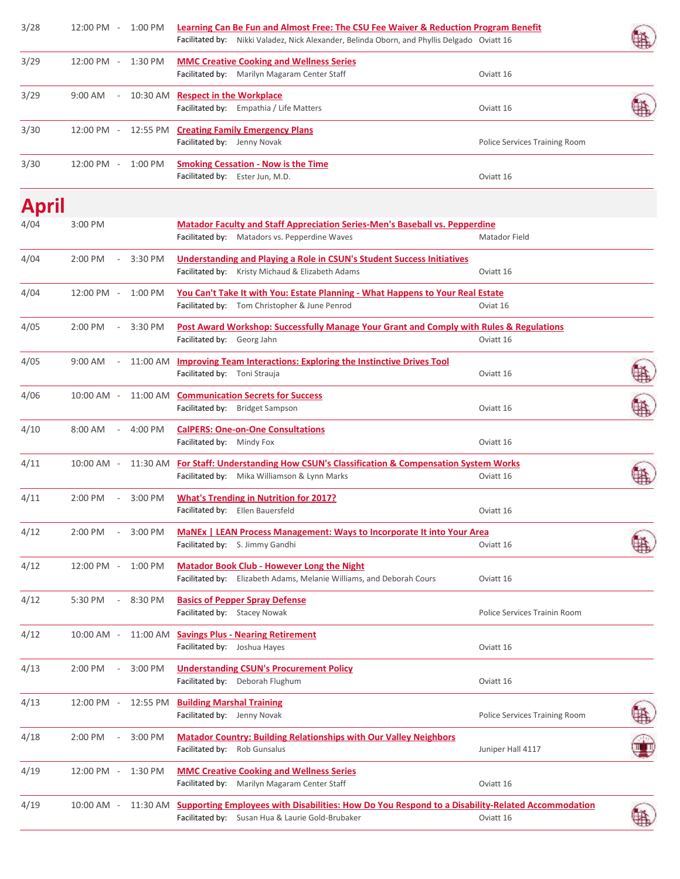| 3/28  | 12:00 PM -         |                          | 1:00 PM   | Learning Can Be Fun and Almost Free: The CSU Fee Waiver & Reduction Program Benefit<br>Facilitated by: Nikki Valadez, Nick Alexander, Belinda Oborn, and Phyllis Delgado Oviatt 16 |                               |  |
|-------|--------------------|--------------------------|-----------|------------------------------------------------------------------------------------------------------------------------------------------------------------------------------------|-------------------------------|--|
| 3/29  | 12:00 PM - 1:30 PM |                          |           | <b>MMC Creative Cooking and Wellness Series</b><br>Facilitated by: Marilyn Magaram Center Staff                                                                                    | Oviatt 16                     |  |
| 3/29  | $9:00$ AM          | $\overline{\phantom{a}}$ |           | 10:30 AM Respect in the Workplace<br>Facilitated by: Empathia / Life Matters                                                                                                       | Oviatt 16                     |  |
| 3/30  | 12:00 PM -         |                          |           | 12:55 PM Creating Family Emergency Plans<br>Facilitated by: Jenny Novak                                                                                                            | Police Services Training Room |  |
| 3/30  | 12:00 PM -         |                          | 1:00 PM   | <b>Smoking Cessation - Now is the Time</b><br>Facilitated by: Ester Jun, M.D.                                                                                                      | Oviatt 16                     |  |
| April |                    |                          |           |                                                                                                                                                                                    |                               |  |
| 4/04  | 3:00 PM            |                          |           | <b>Matador Faculty and Staff Appreciation Series-Men's Baseball vs. Pepperdine</b><br>Facilitated by: Matadors vs. Pepperdine Waves                                                | Matador Field                 |  |
| 4/04  | 2:00 PM            |                          | 3:30 PM   | <b>Understanding and Playing a Role in CSUN's Student Success Initiatives</b><br>Facilitated by: Kristy Michaud & Elizabeth Adams                                                  | Oviatt 16                     |  |
| 4/04  | 12:00 PM -         |                          | $1:00$ PM | You Can't Take It with You: Estate Planning - What Happens to Your Real Estate<br>Facilitated by: Tom Christopher & June Penrod                                                    | Oviat 16                      |  |
| 4/05  | $2:00$ PM          |                          | 3:30 PM   | Post Award Workshop: Successfully Manage Your Grant and Comply with Rules & Regulations<br>Facilitated by: Georg Jahn                                                              | Oviatt 16                     |  |
| 4/05  | 9:00 AM            | $\overline{\phantom{a}}$ |           | 11:00 AM Improving Team Interactions: Exploring the Instinctive Drives Tool<br>Facilitated by: Toni Strauja                                                                        | Oviatt 16                     |  |
| 4/06  | $10:00$ AM $-$     |                          |           | 11:00 AM Communication Secrets for Success<br>Facilitated by: Bridget Sampson                                                                                                      | Oviatt 16                     |  |
| 4/10  | $8:00$ AM          | $\overline{\phantom{a}}$ | 4:00 PM   | <b>CalPERS: One-on-One Consultations</b><br>Facilitated by: Mindy Fox                                                                                                              | Oviatt 16                     |  |
| 4/11  | 10:00 AM -         |                          |           | 11:30 AM For Staff: Understanding How CSUN's Classification & Compensation System Works<br>Facilitated by: Mika Williamson & Lynn Marks                                            | Oviatt 16                     |  |
| 4/11  | 2:00 PM            | $\overline{\phantom{a}}$ | 3:00 PM   | <b>What's Trending in Nutrition for 2017?</b><br>Facilitated by: Ellen Bauersfeld                                                                                                  | Oviatt 16                     |  |
| 4/12  | 2:00 PM            |                          | 3:00 PM   | MaNEx   LEAN Process Management: Ways to Incorporate It into Your Area<br>Facilitated by: S. Jimmy Gandhi                                                                          | Oviatt 16                     |  |
| 4/12  | 12:00 PM -         |                          | 1:00 PM   | <b>Matador Book Club - However Long the Night</b><br>Facilitated by: Elizabeth Adams, Melanie Williams, and Deborah Cours                                                          | Oviatt 16                     |  |
| 4/12  | 5:30 PM            | $\overline{\phantom{a}}$ | 8:30 PM   | <b>Basics of Pepper Spray Defense</b><br>Facilitated by: Stacey Nowak                                                                                                              | Police Services Trainin Room  |  |
| 4/12  | 10:00 AM -         |                          |           | 11:00 AM Savings Plus - Nearing Retirement<br>Facilitated by: Joshua Hayes                                                                                                         | Oviatt 16                     |  |
| 4/13  | 2:00 PM            |                          | 3:00 PM   | <b>Understanding CSUN's Procurement Policy</b><br>Facilitated by: Deborah Flughum                                                                                                  | Oviatt 16                     |  |
| 4/13  | 12:00 PM -         |                          | 12:55 PM  | <b>Building Marshal Training</b><br>Facilitated by: Jenny Novak                                                                                                                    | Police Services Training Room |  |
| 4/18  | 2:00 PM            | $\overline{\phantom{a}}$ | 3:00 PM   | <b>Matador Country: Building Relationships with Our Valley Neighbors</b><br>Facilitated by: Rob Gunsalus                                                                           | Juniper Hall 4117             |  |
| 4/19  | 12:00 PM -         |                          | 1:30 PM   | <b>MMC Creative Cooking and Wellness Series</b><br>Facilitated by: Marilyn Magaram Center Staff                                                                                    | Oviatt 16                     |  |
| 4/19  | 10:00 AM -         |                          |           | 11:30 AM Supporting Employees with Disabilities: How Do You Respond to a Disability-Related Accommodation<br>Facilitated by: Susan Hua & Laurie Gold-Brubaker                      | Oviatt 16                     |  |
|       |                    |                          |           |                                                                                                                                                                                    |                               |  |